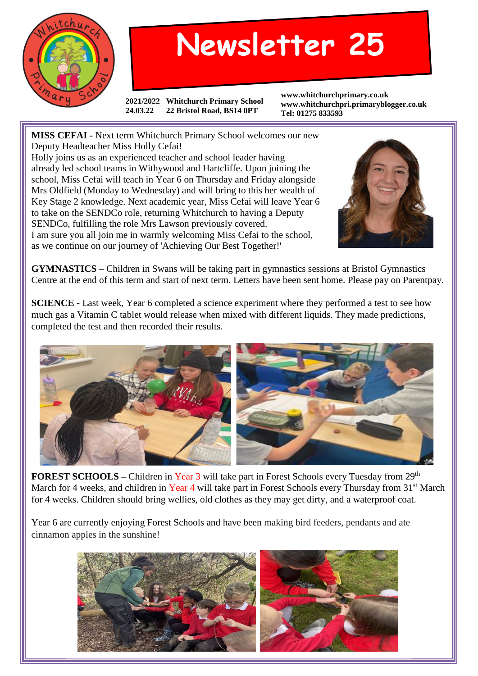

## **Newsletter 25**

**2021/2022 Whitchurch Primary School 24.03.22 22 Bristol Road, BS14 0PT**

**www.whitchurchprimary.co.uk www.whitchurchpri.primaryblogger.co.uk Tel: 01275 833593**

**MISS CEFAI -** Next term Whitchurch Primary School welcomes our new Deputy Headteacher Miss Holly Cefai!

Holly joins us as an experienced teacher and school leader having already led school teams in Withywood and Hartcliffe. Upon joining the school, Miss Cefai will teach in Year 6 on Thursday and Friday alongside Mrs Oldfield (Monday to Wednesday) and will bring to this her wealth of Key Stage 2 knowledge. Next academic year, Miss Cefai will leave Year 6 to take on the SENDCo role, returning Whitchurch to having a Deputy SENDCo, fulfilling the role Mrs Lawson previously covered. I am sure you all join me in warmly welcoming Miss Cefai to the school, as we continue on our journey of 'Achieving Our Best Together!'



**GYMNASTICS –** Children in Swans will be taking part in gymnastics sessions at Bristol Gymnastics Centre at the end of this term and start of next term. Letters have been sent home. Please pay on Parentpay.

**SCIENCE -** Last week, Year 6 completed a science experiment where they performed a test to see how much gas a Vitamin C tablet would release when mixed with different liquids. They made predictions, completed the test and then recorded their results.



**FOREST SCHOOLS –** Children in Year 3 will take part in Forest Schools every Tuesday from 29<sup>th</sup> March for 4 weeks, and children in Year 4 will take part in Forest Schools every Thursday from 31<sup>st</sup> March for 4 weeks. Children should bring wellies, old clothes as they may get dirty, and a waterproof coat.

Year 6 are currently enjoying Forest Schools and have been making bird feeders, pendants and ate cinnamon apples in the sunshine!

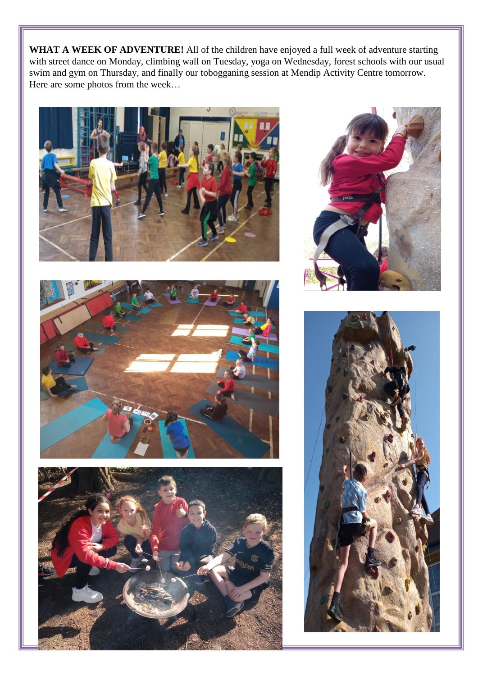WHAT A WEEK OF ADVENTURE! All of the children have enjoyed a full week of adventure starting with street dance on Monday, climbing wall on Tuesday, yoga on Wednesday, forest schools with our usual swim and gym on Thursday, and finally our tobogganing session at Mendip Activity Centre tomorrow. Here are some photos from the week…